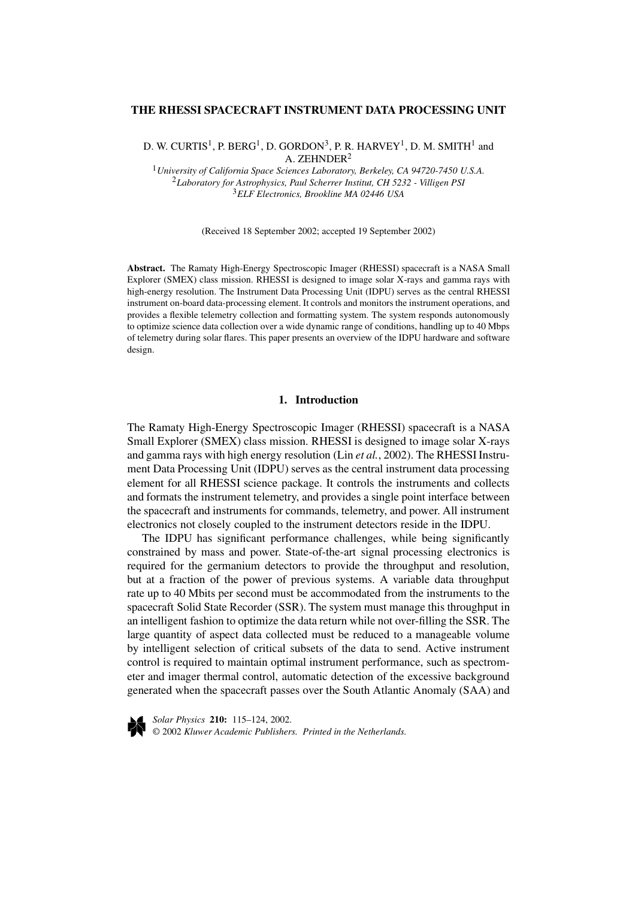### **THE RHESSI SPACECRAFT INSTRUMENT DATA PROCESSING UNIT**

D. W. CURTIS<sup>1</sup>, P. BERG<sup>1</sup>, D. GORDON<sup>3</sup>, P. R. HARVEY<sup>1</sup>, D. M. SMITH<sup>1</sup> and A. ZEHNDER<sup>2</sup>

<sup>1</sup>*University of California Space Sciences Laboratory, Berkeley, CA 94720-7450 U.S.A.* <sup>2</sup>*Laboratory for Astrophysics, Paul Scherrer Institut, CH 5232 - Villigen PSI* <sup>3</sup>*ELF Electronics, Brookline MA 02446 USA*

(Received 18 September 2002; accepted 19 September 2002)

**Abstract.** The Ramaty High-Energy Spectroscopic Imager (RHESSI) spacecraft is a NASA Small Explorer (SMEX) class mission. RHESSI is designed to image solar X-rays and gamma rays with high-energy resolution. The Instrument Data Processing Unit (IDPU) serves as the central RHESSI instrument on-board data-processing element. It controls and monitors the instrument operations, and provides a flexible telemetry collection and formatting system. The system responds autonomously to optimize science data collection over a wide dynamic range of conditions, handling up to 40 Mbps of telemetry during solar flares. This paper presents an overview of the IDPU hardware and software design.

### **1. Introduction**

The Ramaty High-Energy Spectroscopic Imager (RHESSI) spacecraft is a NASA Small Explorer (SMEX) class mission. RHESSI is designed to image solar X-rays and gamma rays with high energy resolution (Lin *et al.*, 2002). The RHESSI Instrument Data Processing Unit (IDPU) serves as the central instrument data processing element for all RHESSI science package. It controls the instruments and collects and formats the instrument telemetry, and provides a single point interface between the spacecraft and instruments for commands, telemetry, and power. All instrument electronics not closely coupled to the instrument detectors reside in the IDPU.

The IDPU has significant performance challenges, while being significantly constrained by mass and power. State-of-the-art signal processing electronics is required for the germanium detectors to provide the throughput and resolution, but at a fraction of the power of previous systems. A variable data throughput rate up to 40 Mbits per second must be accommodated from the instruments to the spacecraft Solid State Recorder (SSR). The system must manage this throughput in an intelligent fashion to optimize the data return while not over-filling the SSR. The large quantity of aspect data collected must be reduced to a manageable volume by intelligent selection of critical subsets of the data to send. Active instrument control is required to maintain optimal instrument performance, such as spectrometer and imager thermal control, automatic detection of the excessive background generated when the spacecraft passes over the South Atlantic Anomaly (SAA) and



*Solar Physics* **210:** 115–124, 2002. © 2002 *Kluwer Academic Publishers. Printed in the Netherlands.*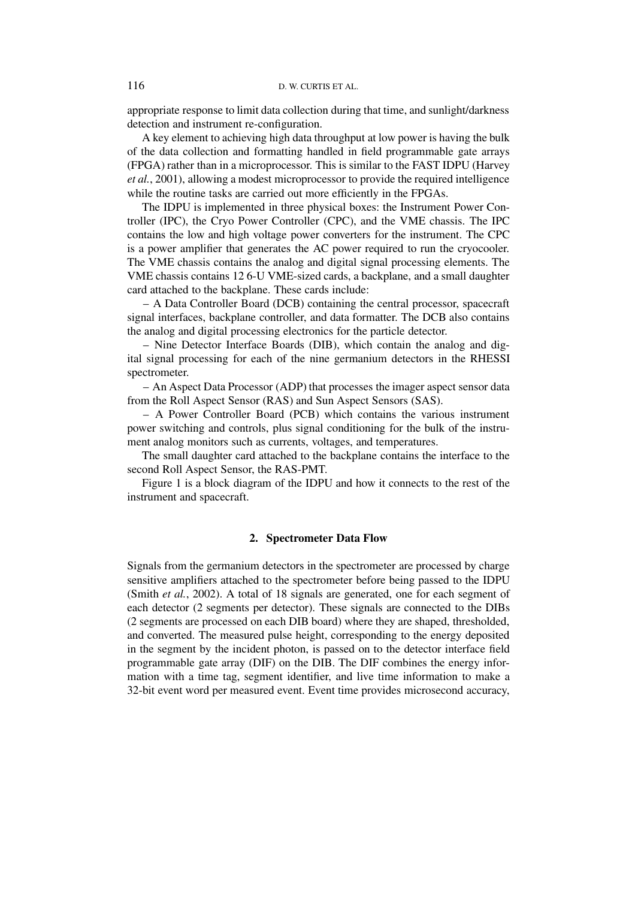appropriate response to limit data collection during that time, and sunlight/darkness detection and instrument re-configuration.

A key element to achieving high data throughput at low power is having the bulk of the data collection and formatting handled in field programmable gate arrays (FPGA) rather than in a microprocessor. This is similar to the FAST IDPU (Harvey *et al.*, 2001), allowing a modest microprocessor to provide the required intelligence while the routine tasks are carried out more efficiently in the FPGAs.

The IDPU is implemented in three physical boxes: the Instrument Power Controller (IPC), the Cryo Power Controller (CPC), and the VME chassis. The IPC contains the low and high voltage power converters for the instrument. The CPC is a power amplifier that generates the AC power required to run the cryocooler. The VME chassis contains the analog and digital signal processing elements. The VME chassis contains 12 6-U VME-sized cards, a backplane, and a small daughter card attached to the backplane. These cards include:

– A Data Controller Board (DCB) containing the central processor, spacecraft signal interfaces, backplane controller, and data formatter. The DCB also contains the analog and digital processing electronics for the particle detector.

– Nine Detector Interface Boards (DIB), which contain the analog and digital signal processing for each of the nine germanium detectors in the RHESSI spectrometer.

– An Aspect Data Processor (ADP) that processes the imager aspect sensor data from the Roll Aspect Sensor (RAS) and Sun Aspect Sensors (SAS).

– A Power Controller Board (PCB) which contains the various instrument power switching and controls, plus signal conditioning for the bulk of the instrument analog monitors such as currents, voltages, and temperatures.

The small daughter card attached to the backplane contains the interface to the second Roll Aspect Sensor, the RAS-PMT.

Figure 1 is a block diagram of the IDPU and how it connects to the rest of the instrument and spacecraft.

#### **2. Spectrometer Data Flow**

Signals from the germanium detectors in the spectrometer are processed by charge sensitive amplifiers attached to the spectrometer before being passed to the IDPU (Smith *et al.*, 2002). A total of 18 signals are generated, one for each segment of each detector (2 segments per detector). These signals are connected to the DIBs (2 segments are processed on each DIB board) where they are shaped, thresholded, and converted. The measured pulse height, corresponding to the energy deposited in the segment by the incident photon, is passed on to the detector interface field programmable gate array (DIF) on the DIB. The DIF combines the energy information with a time tag, segment identifier, and live time information to make a 32-bit event word per measured event. Event time provides microsecond accuracy,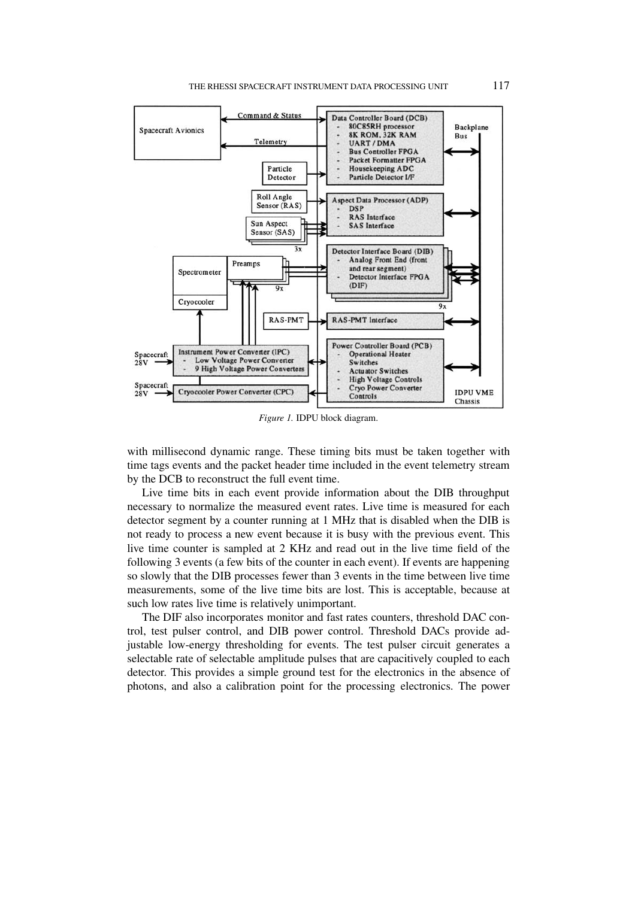

*Figure 1.* IDPU block diagram.

with millisecond dynamic range. These timing bits must be taken together with time tags events and the packet header time included in the event telemetry stream by the DCB to reconstruct the full event time.

Live time bits in each event provide information about the DIB throughput necessary to normalize the measured event rates. Live time is measured for each detector segment by a counter running at 1 MHz that is disabled when the DIB is not ready to process a new event because it is busy with the previous event. This live time counter is sampled at 2 KHz and read out in the live time field of the following 3 events (a few bits of the counter in each event). If events are happening so slowly that the DIB processes fewer than 3 events in the time between live time measurements, some of the live time bits are lost. This is acceptable, because at such low rates live time is relatively unimportant.

The DIF also incorporates monitor and fast rates counters, threshold DAC control, test pulser control, and DIB power control. Threshold DACs provide adjustable low-energy thresholding for events. The test pulser circuit generates a selectable rate of selectable amplitude pulses that are capacitively coupled to each detector. This provides a simple ground test for the electronics in the absence of photons, and also a calibration point for the processing electronics. The power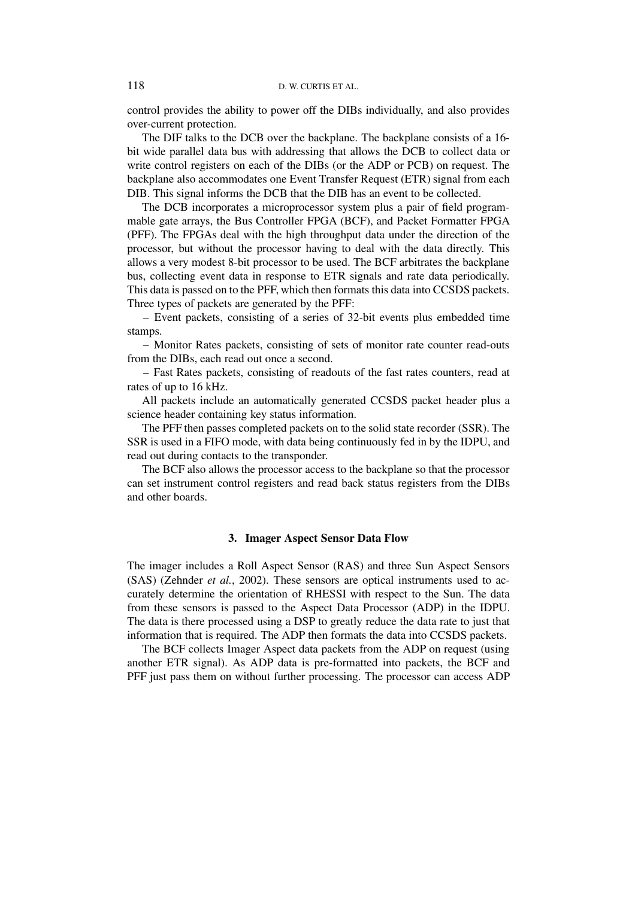control provides the ability to power off the DIBs individually, and also provides over-current protection.

The DIF talks to the DCB over the backplane. The backplane consists of a 16 bit wide parallel data bus with addressing that allows the DCB to collect data or write control registers on each of the DIBs (or the ADP or PCB) on request. The backplane also accommodates one Event Transfer Request (ETR) signal from each DIB. This signal informs the DCB that the DIB has an event to be collected.

The DCB incorporates a microprocessor system plus a pair of field programmable gate arrays, the Bus Controller FPGA (BCF), and Packet Formatter FPGA (PFF). The FPGAs deal with the high throughput data under the direction of the processor, but without the processor having to deal with the data directly. This allows a very modest 8-bit processor to be used. The BCF arbitrates the backplane bus, collecting event data in response to ETR signals and rate data periodically. This data is passed on to the PFF, which then formats this data into CCSDS packets. Three types of packets are generated by the PFF:

– Event packets, consisting of a series of 32-bit events plus embedded time stamps.

– Monitor Rates packets, consisting of sets of monitor rate counter read-outs from the DIBs, each read out once a second.

– Fast Rates packets, consisting of readouts of the fast rates counters, read at rates of up to 16 kHz.

All packets include an automatically generated CCSDS packet header plus a science header containing key status information.

The PFF then passes completed packets on to the solid state recorder (SSR). The SSR is used in a FIFO mode, with data being continuously fed in by the IDPU, and read out during contacts to the transponder.

The BCF also allows the processor access to the backplane so that the processor can set instrument control registers and read back status registers from the DIBs and other boards.

#### **3. Imager Aspect Sensor Data Flow**

The imager includes a Roll Aspect Sensor (RAS) and three Sun Aspect Sensors (SAS) (Zehnder *et al.*, 2002). These sensors are optical instruments used to accurately determine the orientation of RHESSI with respect to the Sun. The data from these sensors is passed to the Aspect Data Processor (ADP) in the IDPU. The data is there processed using a DSP to greatly reduce the data rate to just that information that is required. The ADP then formats the data into CCSDS packets.

The BCF collects Imager Aspect data packets from the ADP on request (using another ETR signal). As ADP data is pre-formatted into packets, the BCF and PFF just pass them on without further processing. The processor can access ADP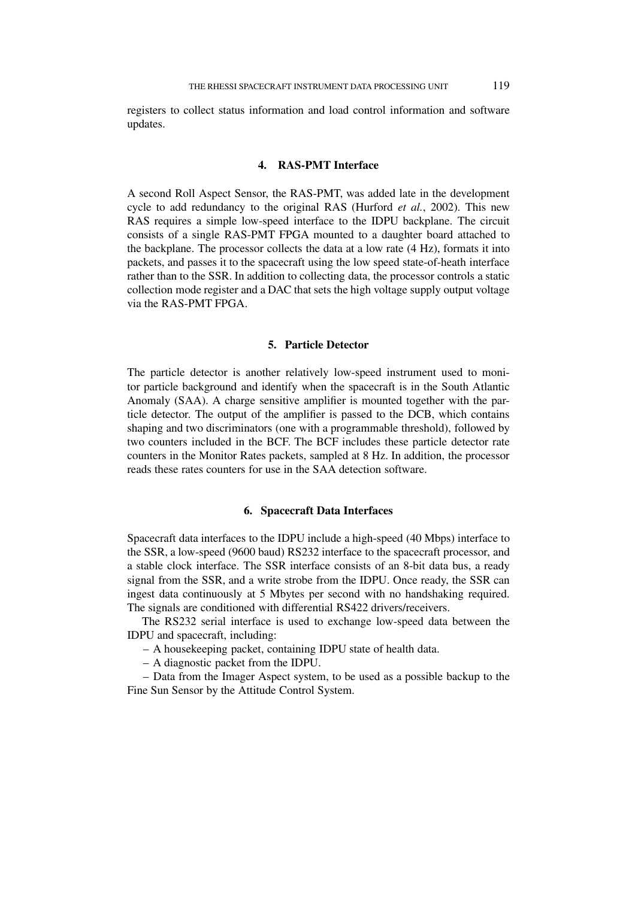registers to collect status information and load control information and software updates.

#### **4. RAS-PMT Interface**

A second Roll Aspect Sensor, the RAS-PMT, was added late in the development cycle to add redundancy to the original RAS (Hurford *et al.*, 2002). This new RAS requires a simple low-speed interface to the IDPU backplane. The circuit consists of a single RAS-PMT FPGA mounted to a daughter board attached to the backplane. The processor collects the data at a low rate (4 Hz), formats it into packets, and passes it to the spacecraft using the low speed state-of-heath interface rather than to the SSR. In addition to collecting data, the processor controls a static collection mode register and a DAC that sets the high voltage supply output voltage via the RAS-PMT FPGA.

# **5. Particle Detector**

The particle detector is another relatively low-speed instrument used to monitor particle background and identify when the spacecraft is in the South Atlantic Anomaly (SAA). A charge sensitive amplifier is mounted together with the particle detector. The output of the amplifier is passed to the DCB, which contains shaping and two discriminators (one with a programmable threshold), followed by two counters included in the BCF. The BCF includes these particle detector rate counters in the Monitor Rates packets, sampled at 8 Hz. In addition, the processor reads these rates counters for use in the SAA detection software.

### **6. Spacecraft Data Interfaces**

Spacecraft data interfaces to the IDPU include a high-speed (40 Mbps) interface to the SSR, a low-speed (9600 baud) RS232 interface to the spacecraft processor, and a stable clock interface. The SSR interface consists of an 8-bit data bus, a ready signal from the SSR, and a write strobe from the IDPU. Once ready, the SSR can ingest data continuously at 5 Mbytes per second with no handshaking required. The signals are conditioned with differential RS422 drivers/receivers.

The RS232 serial interface is used to exchange low-speed data between the IDPU and spacecraft, including:

– A housekeeping packet, containing IDPU state of health data.

– A diagnostic packet from the IDPU.

– Data from the Imager Aspect system, to be used as a possible backup to the Fine Sun Sensor by the Attitude Control System.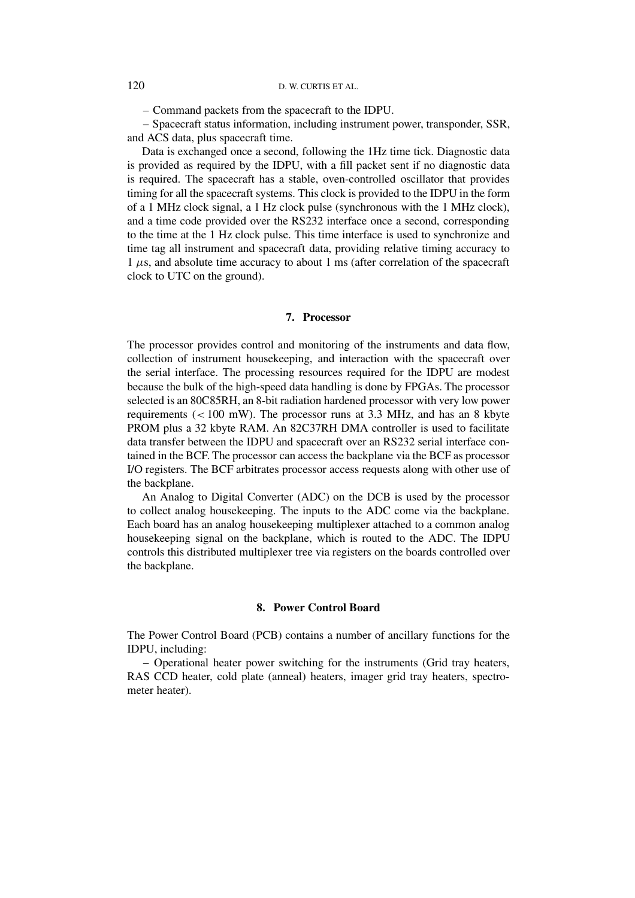– Command packets from the spacecraft to the IDPU.

– Spacecraft status information, including instrument power, transponder, SSR, and ACS data, plus spacecraft time.

Data is exchanged once a second, following the 1Hz time tick. Diagnostic data is provided as required by the IDPU, with a fill packet sent if no diagnostic data is required. The spacecraft has a stable, oven-controlled oscillator that provides timing for all the spacecraft systems. This clock is provided to the IDPU in the form of a 1 MHz clock signal, a 1 Hz clock pulse (synchronous with the 1 MHz clock), and a time code provided over the RS232 interface once a second, corresponding to the time at the 1 Hz clock pulse. This time interface is used to synchronize and time tag all instrument and spacecraft data, providing relative timing accuracy to 1 *µ*s, and absolute time accuracy to about 1 ms (after correlation of the spacecraft clock to UTC on the ground).

### **7. Processor**

The processor provides control and monitoring of the instruments and data flow, collection of instrument housekeeping, and interaction with the spacecraft over the serial interface. The processing resources required for the IDPU are modest because the bulk of the high-speed data handling is done by FPGAs. The processor selected is an 80C85RH, an 8-bit radiation hardened processor with very low power requirements (*<* 100 mW). The processor runs at 3.3 MHz, and has an 8 kbyte PROM plus a 32 kbyte RAM. An 82C37RH DMA controller is used to facilitate data transfer between the IDPU and spacecraft over an RS232 serial interface contained in the BCF. The processor can access the backplane via the BCF as processor I/O registers. The BCF arbitrates processor access requests along with other use of the backplane.

An Analog to Digital Converter (ADC) on the DCB is used by the processor to collect analog housekeeping. The inputs to the ADC come via the backplane. Each board has an analog housekeeping multiplexer attached to a common analog housekeeping signal on the backplane, which is routed to the ADC. The IDPU controls this distributed multiplexer tree via registers on the boards controlled over the backplane.

#### **8. Power Control Board**

The Power Control Board (PCB) contains a number of ancillary functions for the IDPU, including:

– Operational heater power switching for the instruments (Grid tray heaters, RAS CCD heater, cold plate (anneal) heaters, imager grid tray heaters, spectrometer heater).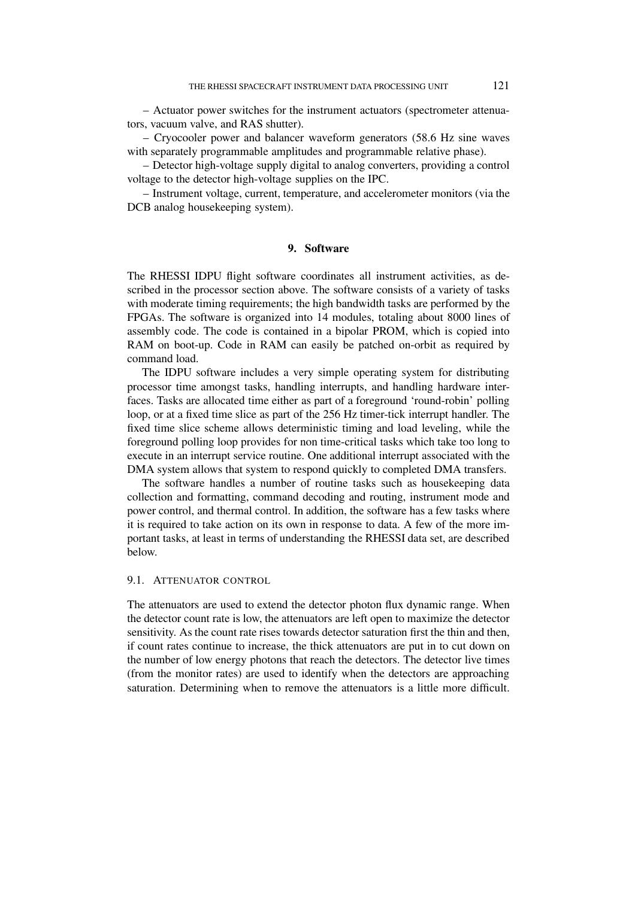– Actuator power switches for the instrument actuators (spectrometer attenuators, vacuum valve, and RAS shutter).

– Cryocooler power and balancer waveform generators (58.6 Hz sine waves with separately programmable amplitudes and programmable relative phase).

– Detector high-voltage supply digital to analog converters, providing a control voltage to the detector high-voltage supplies on the IPC.

– Instrument voltage, current, temperature, and accelerometer monitors (via the DCB analog housekeeping system).

#### **9. Software**

The RHESSI IDPU flight software coordinates all instrument activities, as described in the processor section above. The software consists of a variety of tasks with moderate timing requirements; the high bandwidth tasks are performed by the FPGAs. The software is organized into 14 modules, totaling about 8000 lines of assembly code. The code is contained in a bipolar PROM, which is copied into RAM on boot-up. Code in RAM can easily be patched on-orbit as required by command load.

The IDPU software includes a very simple operating system for distributing processor time amongst tasks, handling interrupts, and handling hardware interfaces. Tasks are allocated time either as part of a foreground 'round-robin' polling loop, or at a fixed time slice as part of the 256 Hz timer-tick interrupt handler. The fixed time slice scheme allows deterministic timing and load leveling, while the foreground polling loop provides for non time-critical tasks which take too long to execute in an interrupt service routine. One additional interrupt associated with the DMA system allows that system to respond quickly to completed DMA transfers.

The software handles a number of routine tasks such as housekeeping data collection and formatting, command decoding and routing, instrument mode and power control, and thermal control. In addition, the software has a few tasks where it is required to take action on its own in response to data. A few of the more important tasks, at least in terms of understanding the RHESSI data set, are described below.

### 9.1. ATTENUATOR CONTROL

The attenuators are used to extend the detector photon flux dynamic range. When the detector count rate is low, the attenuators are left open to maximize the detector sensitivity. As the count rate rises towards detector saturation first the thin and then, if count rates continue to increase, the thick attenuators are put in to cut down on the number of low energy photons that reach the detectors. The detector live times (from the monitor rates) are used to identify when the detectors are approaching saturation. Determining when to remove the attenuators is a little more difficult.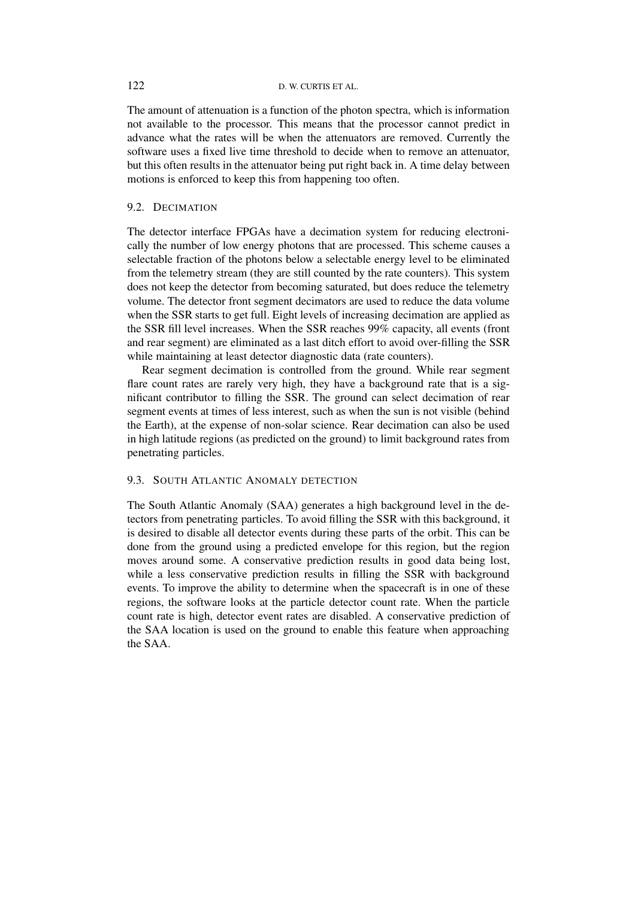### 122 D. W. CURTIS ET AL.

The amount of attenuation is a function of the photon spectra, which is information not available to the processor. This means that the processor cannot predict in advance what the rates will be when the attenuators are removed. Currently the software uses a fixed live time threshold to decide when to remove an attenuator, but this often results in the attenuator being put right back in. A time delay between motions is enforced to keep this from happening too often.

# 9.2. DECIMATION

The detector interface FPGAs have a decimation system for reducing electronically the number of low energy photons that are processed. This scheme causes a selectable fraction of the photons below a selectable energy level to be eliminated from the telemetry stream (they are still counted by the rate counters). This system does not keep the detector from becoming saturated, but does reduce the telemetry volume. The detector front segment decimators are used to reduce the data volume when the SSR starts to get full. Eight levels of increasing decimation are applied as the SSR fill level increases. When the SSR reaches 99% capacity, all events (front and rear segment) are eliminated as a last ditch effort to avoid over-filling the SSR while maintaining at least detector diagnostic data (rate counters).

Rear segment decimation is controlled from the ground. While rear segment flare count rates are rarely very high, they have a background rate that is a significant contributor to filling the SSR. The ground can select decimation of rear segment events at times of less interest, such as when the sun is not visible (behind the Earth), at the expense of non-solar science. Rear decimation can also be used in high latitude regions (as predicted on the ground) to limit background rates from penetrating particles.

### 9.3. SOUTH ATLANTIC ANOMALY DETECTION

The South Atlantic Anomaly (SAA) generates a high background level in the detectors from penetrating particles. To avoid filling the SSR with this background, it is desired to disable all detector events during these parts of the orbit. This can be done from the ground using a predicted envelope for this region, but the region moves around some. A conservative prediction results in good data being lost, while a less conservative prediction results in filling the SSR with background events. To improve the ability to determine when the spacecraft is in one of these regions, the software looks at the particle detector count rate. When the particle count rate is high, detector event rates are disabled. A conservative prediction of the SAA location is used on the ground to enable this feature when approaching the SAA.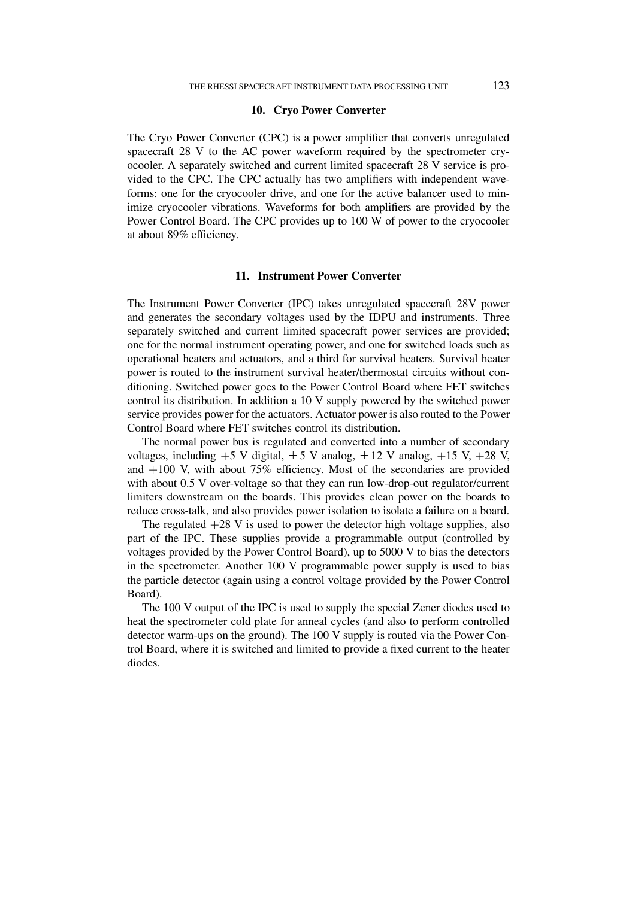### **10. Cryo Power Converter**

The Cryo Power Converter (CPC) is a power amplifier that converts unregulated spacecraft 28 V to the AC power waveform required by the spectrometer cryocooler. A separately switched and current limited spacecraft 28 V service is provided to the CPC. The CPC actually has two amplifiers with independent waveforms: one for the cryocooler drive, and one for the active balancer used to minimize cryocooler vibrations. Waveforms for both amplifiers are provided by the Power Control Board. The CPC provides up to 100 W of power to the cryocooler at about 89% efficiency.

### **11. Instrument Power Converter**

The Instrument Power Converter (IPC) takes unregulated spacecraft 28V power and generates the secondary voltages used by the IDPU and instruments. Three separately switched and current limited spacecraft power services are provided; one for the normal instrument operating power, and one for switched loads such as operational heaters and actuators, and a third for survival heaters. Survival heater power is routed to the instrument survival heater/thermostat circuits without conditioning. Switched power goes to the Power Control Board where FET switches control its distribution. In addition a 10 V supply powered by the switched power service provides power for the actuators. Actuator power is also routed to the Power Control Board where FET switches control its distribution.

The normal power bus is regulated and converted into a number of secondary voltages, including  $+5$  V digital,  $\pm 5$  V analog,  $\pm 12$  V analog,  $+15$  V,  $+28$  V, and  $+100$  V, with about 75% efficiency. Most of the secondaries are provided with about 0.5 V over-voltage so that they can run low-drop-out regulator/current limiters downstream on the boards. This provides clean power on the boards to reduce cross-talk, and also provides power isolation to isolate a failure on a board.

The regulated  $+28$  V is used to power the detector high voltage supplies, also part of the IPC. These supplies provide a programmable output (controlled by voltages provided by the Power Control Board), up to 5000 V to bias the detectors in the spectrometer. Another 100 V programmable power supply is used to bias the particle detector (again using a control voltage provided by the Power Control Board).

The 100 V output of the IPC is used to supply the special Zener diodes used to heat the spectrometer cold plate for anneal cycles (and also to perform controlled detector warm-ups on the ground). The 100 V supply is routed via the Power Control Board, where it is switched and limited to provide a fixed current to the heater diodes.